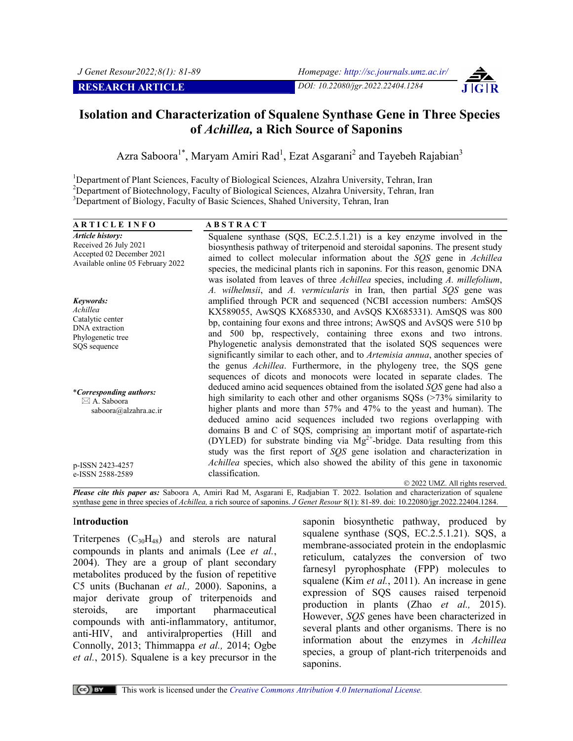

# **Isolation and Characterization of Squalene Synthase Gene in Three Species of** *Achillea,* **a Rich Source of Saponins**

Azra Saboora<sup>1\*</sup>, Maryam Amiri Rad<sup>1</sup>, Ezat Asgarani<sup>2</sup> and Tayebeh Rajabian<sup>3</sup>

<sup>1</sup>Department of Plant Sciences, Faculty of Biological Sciences, Alzahra University, Tehran, Iran <sup>2</sup>Department of Biotechnology, Faculty of Biological Sciences, Alzahra University, Tehran, Iran <sup>2</sup>Department of Biotechnology, Faculty of Biological Sciences, Alzahra University, Tehran, Iran <sup>3</sup>Department of Biology, Faculty of Basic Sciences, Shahed University, Tehran, Iran

| <b>ARTICLE INFO</b>                                                                                         | <b>ABSTRACT</b>                                                                                                                                                                                                                                                                                                                                                                                                                                                                                                                                                                                                                       |
|-------------------------------------------------------------------------------------------------------------|---------------------------------------------------------------------------------------------------------------------------------------------------------------------------------------------------------------------------------------------------------------------------------------------------------------------------------------------------------------------------------------------------------------------------------------------------------------------------------------------------------------------------------------------------------------------------------------------------------------------------------------|
| Article history:<br>Received 26 July 2021<br>Accepted 02 December 2021<br>Available online 05 February 2022 | Squalene synthase $(SQS, EC.2.5.1.21)$ is a key enzyme involved in the<br>biosynthesis pathway of triterpenoid and steroidal saponins. The present study<br>aimed to collect molecular information about the SQS gene in Achillea<br>species, the medicinal plants rich in saponins. For this reason, genomic DNA<br>was isolated from leaves of three Achillea species, including A. millefolium,                                                                                                                                                                                                                                    |
| Keywords:<br>Achillea<br>Catalytic center<br>DNA extraction<br>Phylogenetic tree<br>SQS sequence            | A. wilhelmsii, and A. vermicularis in Iran, then partial SOS gene was<br>amplified through PCR and sequenced (NCBI accession numbers: AmSQS<br>KX589055, AwSQS KX685330, and AvSQS KX685331). AmSQS was 800<br>bp, containing four exons and three introns; AwSQS and AvSQS were 510 bp<br>and 500 bp, respectively, containing three exons and two introns.<br>Phylogenetic analysis demonstrated that the isolated SQS sequences were<br>significantly similar to each other, and to Artemisia annua, another species of<br>the genus <i>Achillea</i> . Furthermore, in the phylogeny tree, the SQS gene                            |
| <i>*Corresponding authors:</i><br>$\boxtimes$ A. Saboora<br>saboora@alzahra.ac.ir                           | sequences of dicots and monocots were located in separate clades. The<br>deduced amino acid sequences obtained from the isolated SQS gene had also a<br>high similarity to each other and other organisms $SQSs$ ( $>73\%$ similarity to<br>higher plants and more than 57% and 47% to the yeast and human). The<br>deduced amino acid sequences included two regions overlapping with<br>domains B and C of SQS, comprising an important motif of aspartate-rich<br>(DYLED) for substrate binding via Mg <sup>2+</sup> -bridge. Data resulting from this<br>study was the first report of SQS gene isolation and characterization in |
| p-ISSN 2423-4257<br>e-ISSN 2588-2589                                                                        | Achillea species, which also showed the ability of this gene in taxonomic<br>classification.                                                                                                                                                                                                                                                                                                                                                                                                                                                                                                                                          |
|                                                                                                             | © 2022 UMZ. All rights reserved.                                                                                                                                                                                                                                                                                                                                                                                                                                                                                                                                                                                                      |
|                                                                                                             | Please cite this paper as: Saboora A Amiri Rad M Asgarani E Radiabian T 2022 Isolation and characterization of squalene                                                                                                                                                                                                                                                                                                                                                                                                                                                                                                               |

*Please cite this paper as:* Saboora A, Amiri Rad M, Asgarani E, Radjabian T. 2022. Isolation and characterization of squalene synthase gene in three species of *Achillea,* a rich source of saponins. *J Genet Resour* 8(1): 81-89. doi: 10.22080/jgr.2022.22404.1284.

#### I**ntroduction**

Triterpenes  $(C_{30}H_{48})$  and sterols are natural compounds in plants and animals (Lee *et al.*, 2004). They are a group of plant secondary metabolites produced by the fusion of repetitive C5 units (Buchanan *et al.,* 2000). Saponins, a major derivate group of triterpenoids and steroids, are important pharmaceutical compounds with anti-inflammatory, antitumor, anti-HIV, and antiviralproperties (Hill and Connolly, 2013; Thimmappa *et al.,* 2014; Ogbe *et al.*, 2015). Squalene is a key precursor in the

saponin biosynthetic pathway, produced by squalene synthase (SQS, EC.2.5.1.21). SQS, a membrane-associated protein in the endoplasmic reticulum, catalyzes the conversion of two farnesyl pyrophosphate (FPP) molecules to squalene (Kim *et al.*, 2011). An increase in gene expression of SQS causes raised terpenoid production in plants (Zhao *et al.,* 2015). However, *SQS* genes have been characterized in several plants and other organisms. There is no information about the enzymes in *Achillea* species, a group of plant-rich triterpenoids and saponins.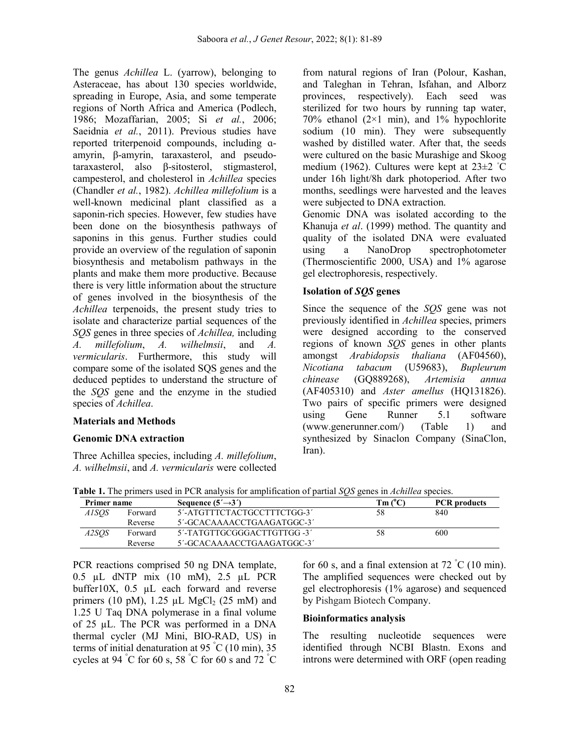The genus *Achillea* L. (yarrow), belonging to Asteraceae, has about 130 species worldwide, spreading in Europe, Asia, and some temperate regions of North Africa and America (Podlech, 1986; Mozaffarian, 2005; Si *et al.*, 2006; Saeidnia *et al.*, 2011). Previous studies have reported triterpenoid compounds, including ɑamyrin, β-amyrin, taraxasterol, and pseudotaraxasterol, also β-sitosterol, stigmasterol, campesterol, and cholesterol in *Achillea* species (Chandler *et al.*, 1982). *Achillea millefolium* is a well-known medicinal plant classified as a saponin-rich species. However, few studies have been done on the biosynthesis pathways of saponins in this genus. Further studies could provide an overview of the regulation of saponin biosynthesis and metabolism pathways in the plants and make them more productive. Because there is very little information about the structure of genes involved in the biosynthesis of the *Achillea* terpenoids, the present study tries to isolate and characterize partial sequences of the *SQS* genes in three species of *Achillea,* including *A. millefolium*, *A. wilhelmsii*, and *A. vermicularis*. Furthermore, this study will compare some of the isolated SQS genes and the deduced peptides to understand the structure of the *SQS* gene and the enzyme in the studied species of *Achillea*.

### **Materials and Methods**

#### **Genomic DNA extraction**

Three Achillea species, including *A. millefolium*, *A. wilhelmsii*, and *A. vermicularis* were collected

from natural regions of Iran (Polour, Kashan, and Taleghan in Tehran, Isfahan, and Alborz provinces, respectively). Each seed was sterilized for two hours by running tap water, 70% ethanol  $(2\times1 \text{ min})$ , and  $1\%$  hypochlorite sodium (10 min). They were subsequently washed by distilled water. After that, the seeds were cultured on the basic Murashige and Skoog medium (1962). Cultures were kept at  $23\pm2$  °C under 16h light/8h dark photoperiod. After two months, seedlings were harvested and the leaves were subjected to DNA extraction.

Genomic DNA was isolated according to the Khanuja *et al*. (1999) method. The quantity and quality of the isolated DNA were evaluated using a NanoDrop spectrophotometer (Thermoscientific 2000, USA) and 1% agarose gel electrophoresis, respectively.

### **Isolation of** *SQS* **genes**

Since the sequence of the *SQS* gene was not previously identified in *Achillea* species, primers were designed according to the conserved regions of known *SQS* genes in other plants amongst *Arabidopsis thaliana* (AF04560), *Nicotiana tabacum* (U59683), *Bupleurum chinease* (GQ889268), *Artemisia annua* (AF405310) and *Aster amellus* (HQ131826). Two pairs of specific primers were designed using Gene Runner 5.1 software (www.generunner.com/) (Table 1) and synthesized by Sinaclon Company (SinaClon, Iran).

| Table 1. The primers used in PCR analysis for amplification of partial SQS genes in Achillea species. |  |  |  |  |
|-------------------------------------------------------------------------------------------------------|--|--|--|--|
|-------------------------------------------------------------------------------------------------------|--|--|--|--|

|              |         |                                | ~           |                     |
|--------------|---------|--------------------------------|-------------|---------------------|
| Primer name  |         | Sequence $(5' \rightarrow 3')$ | $Tm(^{o}C)$ | <b>PCR</b> products |
| AISOS        | Forward | 5'-ATGTTTCTACTGCCTTTCTGG-3'    |             | 840                 |
|              | Reverse | 5'-GCACAAAACCTGAAGATGGC-3'     |             |                     |
| <i>A2SOS</i> | Forward | 5'-TATGTTGCGGGACTTGTTGG -3'    | 58          | 600                 |
|              | Reverse | 5'-GCACAAAACCTGAAGATGGC-3'     |             |                     |

PCR reactions comprised 50 ng DNA template, 0.5 µL dNTP mix (10 mM), 2.5 µL PCR buffer10X, 0.5 µL each forward and reverse primers (10 pM),  $1.25 \mu L$  MgCl<sub>2</sub> (25 mM) and 1.25 U Taq DNA polymerase in a final volume of 25 µL. The PCR was performed in a DNA thermal cycler (MJ Mini, BIO-RAD, US) in terms of initial denaturation at 95 ° C (10 min), 35 cycles at 94 °C for 60 s, 58 °C for 60 s and 72 °C

for 60 s, and a final extension at 72  $\degree$ C (10 min). The amplified sequences were checked out by gel electrophoresis (1% agarose) and sequenced by Pishgam Biotech Company.

### **Bioinformatics analysis**

The resulting nucleotide sequences were identified through NCBI Blastn. Exons and introns were determined with ORF (open reading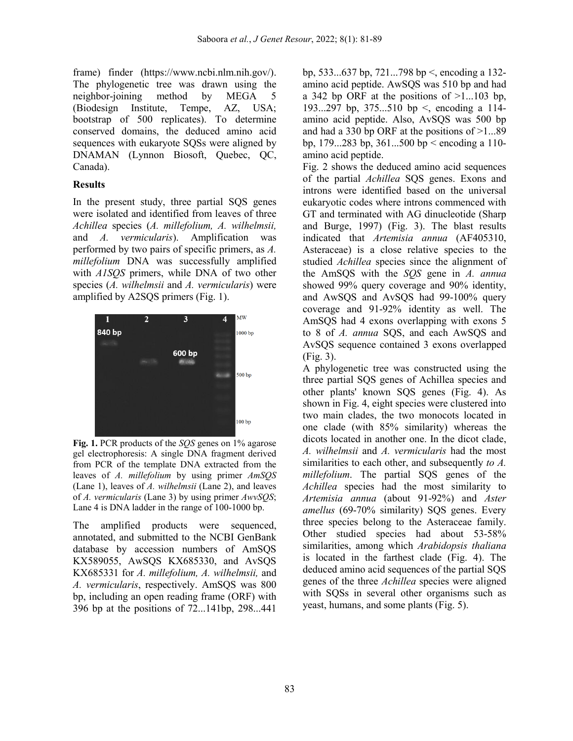frame) finder (https://www.ncbi.nlm.nih.gov/). The phylogenetic tree was drawn using the neighbor-joining method by MEGA 5 (Biodesign Institute, Tempe, AZ, USA; bootstrap of 500 replicates). To determine conserved domains, the deduced amino acid sequences with eukaryote SQSs were aligned by DNAMAN (Lynnon Biosoft, Quebec, QC, Canada).

### **Results**

In the present study, three partial SQS genes were isolated and identified from leaves of three *Achillea* species (*A. millefolium, A. wilhelmsii,*  and *A. vermicularis*). Amplification was performed by two pairs of specific primers, as *A. millefolium* DNA was successfully amplified with *A1SQS* primers, while DNA of two other species (*A. wilhelmsii* and *A. vermicularis*) were amplified by A2SQS primers (Fig. 1).



**Fig. 1.** PCR products of the *SQS* genes on 1% agarose gel electrophoresis: A single DNA fragment derived from PCR of the template DNA extracted from the leaves of *A. millefolium* by using primer *AmSQS* (Lane 1), leaves of *A. wilhelmsii* (Lane 2), and leaves of *A. vermicularis* (Lane 3) by using primer *AwvSQS*; Lane 4 is DNA ladder in the range of 100-1000 bp.

The amplified products were sequenced, annotated, and submitted to the NCBI GenBank database by accession numbers of AmSQS KX589055, AwSQS KX685330, and AvSQS KX685331 for *A. millefolium, A. wilhelmsii,* and *A. vermicularis*, respectively. AmSQS was 800 bp, including an open reading frame (ORF) with 396 bp at the positions of 72...141bp, 298...441

bp, 533...637 bp, 721...798 bp <, encoding a 132 amino acid peptide. AwSQS was 510 bp and had a 342 bp ORF at the positions of  $>1...103$  bp, 193...297 bp, 375...510 bp <, encoding a 114 amino acid peptide. Also, AvSQS was 500 bp and had a 330 bp ORF at the positions of  $>1...89$ bp, 179...283 bp, 361...500 bp < encoding a 110 amino acid peptide.

Fig. 2 shows the deduced amino acid sequences of the partial *Achillea* SQS genes. Exons and introns were identified based on the universal eukaryotic codes where introns commenced with GT and terminated with AG dinucleotide (Sharp and Burge, 1997) (Fig. 3). The blast results indicated that *Artemisia annua* (AF405310, Asteraceae) is a close relative species to the studied *Achillea* species since the alignment of the AmSQS with the *SQS* gene in *A. annua* showed 99% query coverage and 90% identity, and AwSQS and AvSQS had 99-100% query coverage and 91-92% identity as well. The AmSQS had 4 exons overlapping with exons 5 to 8 of *A. annua* SQS, and each AwSQS and AvSQS sequence contained 3 exons overlapped (Fig. 3).

A phylogenetic tree was constructed using the three partial SQS genes of Achillea species and other plants' known SQS genes (Fig. 4). As shown in Fig. 4, eight species were clustered into two main clades, the two monocots located in one clade (with 85% similarity) whereas the dicots located in another one. In the dicot clade, *A. wilhelmsii* and *A. vermicularis* had the most similarities to each other, and subsequently *to A. millefolium*. The partial SQS genes of the *Achillea* species had the most similarity to *Artemisia annua* (about 91-92%) and *Aster amellus* (69-70% similarity) SQS genes. Every three species belong to the Asteraceae family. Other studied species had about 53-58% similarities, among which *Arabidopsis thaliana* is located in the farthest clade (Fig. 4). The deduced amino acid sequences of the partial SQS genes of the three *Achillea* species were aligned with SQSs in several other organisms such as yeast, humans, and some plants (Fig. 5).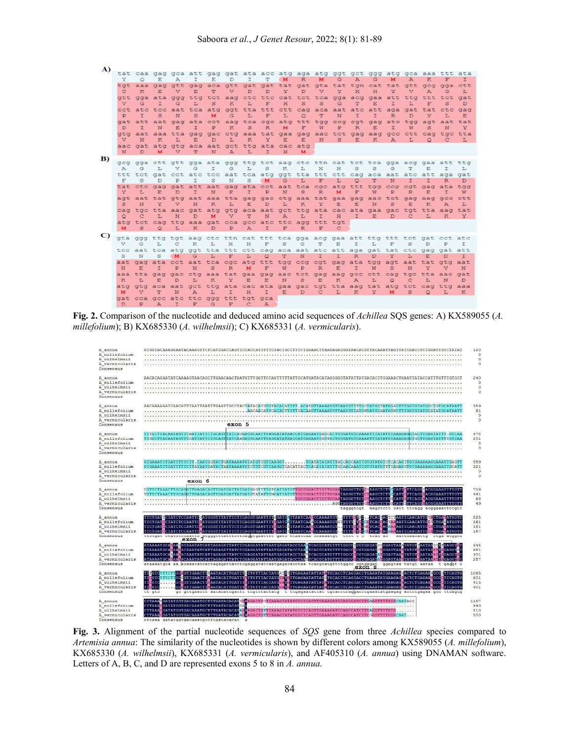| A)       |              |                  |                                                     |                   |          |              |              |              |              |             |         |       |              |                                                                             |            |              |              |              |                                                                                 |            |
|----------|--------------|------------------|-----------------------------------------------------|-------------------|----------|--------------|--------------|--------------|--------------|-------------|---------|-------|--------------|-----------------------------------------------------------------------------|------------|--------------|--------------|--------------|---------------------------------------------------------------------------------|------------|
|          | tat          |                  |                                                     |                   |          |              |              |              |              |             |         |       |              | caa gag gca att gag gat ata acc atg aga atg ggt gct ggg atg gca aaa ttt     |            |              |              |              |                                                                                 | ata        |
|          | x.           | $\circ$          | Ε                                                   | A                 | x.       | E.           | D            | τ            | $\mathbf T$  | M           | R       | M     | G            | A                                                                           | G          | M.           | A            | ĸ            | F                                                                               | I.         |
|          | tat          |                  | aaa gag gtt                                         |                   |          |              |              |              |              |             |         |       |              | gag aca gtt gat gat tat gat gta tat tgn cat tat gtt gog gga                 |            |              |              |              |                                                                                 | ctt        |
|          | $\mathbf{C}$ | ĸ                | E                                                   | v                 | Ε        | T            | <b>V</b>     | D            | D            | <b>x</b>    | D       | v     | x            | $\mathbf{x}$                                                                | H          | $\mathbf{x}$ | v            | $\mathbb{A}$ | G                                                                               | L.         |
|          | <b>att</b>   |                  | gga ata ggg                                         |                   |          |              |              |              |              |             |         |       |              | ttg tet aag ete tte eat tet tea gga aeg gaa att                             |            |              | tta          | セセセ          | tet                                                                             | <b>gat</b> |
|          | v            | G                | I                                                   | G                 | L        | s            | $\mathbb{R}$ | L            | F            | H           | S.      | s     | G            | T                                                                           | E          | $\mathbb{I}$ | E.           | F            | s                                                                               | D          |
|          |              |                  |                                                     |                   |          |              |              |              |              |             |         |       |              | cot ato too aat toa atg ggt tta ttt ott cag aca aat ato att aga             |            |              | gat          |              | tat ctc                                                                         | gag        |
|          | $\mathbf{P}$ | $\mathcal{I}$    | s                                                   | N                 | s        | M            | G            | L            | F            | E.          | $\circ$ | T     | N            | $\mathcal{I}$                                                               | 工          | R            | D            | $\mathbf{x}$ | L                                                                               | Ε.         |
|          |              |                  |                                                     |                   |          |              |              |              |              |             |         |       |              | gat att aat gag ata cet aag tea ege atg ttt tgg eeg egt gag ate tgg agt aat |            |              |              |              |                                                                                 | tat        |
|          | Ð            | $\tau$           | N                                                   | Ε                 | I.       | $\mathbf{P}$ | ĸ            | S            | R            | M           | F       | w     | $\mathbb{P}$ | R                                                                           | Ε          | I.           | w            | s            | N                                                                               | Y.         |
|          |              |                  |                                                     |                   |          |              |              |              |              |             |         |       |              |                                                                             |            |              |              |              | gtg aat aaa tta gag gac ctg aaa tat gaa gag aac tet gag aag gee ett cag tgc tta |            |
|          | v            | N                | ĸ                                                   | L                 | Ε        | D            | L.           | $_{\rm K}$   | x            | E           | E       | N     | s            | Ε                                                                           | ĸ          | A            | T.           | O            | c                                                                               | T.         |
|          |              |                  | aac gat atg gtg aca aat get ttg ata cac atg         |                   |          |              |              |              |              |             |         |       |              |                                                                             |            |              |              |              |                                                                                 |            |
|          | N.           | D                | M                                                   | <b>V</b>          | <b>T</b> | N            | $\mathbb{A}$ | L.           | 江            | н           | м       |       |              |                                                                             |            |              |              |              |                                                                                 |            |
| $\bf{B}$ |              |                  |                                                     |                   |          |              |              |              |              |             |         |       |              |                                                                             |            |              |              |              |                                                                                 |            |
|          | aca          |                  |                                                     |                   |          |              |              |              |              |             |         |       |              |                                                                             |            |              |              |              | gga ott gtt gga ata ggg ttg tot aag oto ttn cat tot toa gga acg gaa att ttg     |            |
|          | $\mathbb{A}$ | G                | L                                                   | v                 | G        | $\mathbf{I}$ | G            | L            | s            | к           | L       | ×     | H            | s                                                                           | s          | G            | т            | E            | τ                                                                               | L          |
|          | セセセ          |                  |                                                     |                   |          |              |              |              |              |             |         |       |              | tet gat eet ate tee aat tea atg ggt tta ttt ett cag aca aat ate att aga     |            |              |              |              |                                                                                 | gat        |
|          | F            | s                | D                                                   | $\mathbf{P}$      | T.       | s            | N            | s            | M            | G           | L       | F     | L            | $\circ$                                                                     | $_{\rm T}$ | N            | II.          | I.           | R                                                                               | D.         |
|          |              |                  |                                                     |                   |          |              |              |              |              |             |         |       |              | tat oto gag gat att aat gag ata oct aat toa ogo atg ttt tgg oog ogt         |            |              |              | gag ata      |                                                                                 | taa        |
|          | x            | т.               | Ε                                                   | D                 | п        | N            | Ε            | x.           | $\mathbb{P}$ | N           | s       | R     | M            | F                                                                           | W          | P            | R            | E            | T.                                                                              | w          |
|          |              |                  |                                                     |                   |          |              |              |              |              |             |         |       |              |                                                                             |            |              |              |              | agt aat tat gtg aat aaa tta gag gac ctg aaa tat gaa gag aac tct gag aag gcc ctt |            |
|          | s            | N                | x                                                   | v                 | N        | ĸ            | L            | E            | D            | L           | K       | Y.    | E            | E                                                                           | N          | s            | Ε            | ĸ            | A                                                                               | T.         |
|          |              |                  |                                                     |                   |          |              |              |              |              |             |         |       |              | cag tgc tta aac gat atg gtg aca aat gct ttg ata cac ata gaa gac tgt tta aag |            |              |              |              |                                                                                 | tat        |
|          | $\circ$      | $\mathbf{C}$     | L                                                   | N                 | D        | M.           | <b>V</b>     | $\mathbf{T}$ | $\mathbb{N}$ | A           | L       | T     | H            | I.                                                                          | E.         | D            | C            | L            | $25$                                                                            | Y.         |
|          |              |                  | atg tot cag ttg aaa gat cca goo ato ttc agg ttt tgt |                   |          |              |              |              |              |             |         |       |              |                                                                             |            |              |              |              |                                                                                 |            |
|          |              | M <sub>s</sub> Q |                                                     | <b>Experience</b> |          |              |              |              | K D P A I F  |             | R       | $F$ . | C            |                                                                             |            |              |              |              |                                                                                 |            |
| O        |              |                  | gta ggg ttg tgt                                     |                   |          |              |              |              |              |             |         |       |              |                                                                             |            |              |              |              | aag oto ttn cat ttt toa gga acg gaa att ttg ttt tot gat oct ato                 |            |
|          | v            | G                | T.                                                  | c                 | ĸ        | L            | $\mathbf x$  | H            | F            | s           | G       | T     | E            | τ                                                                           | T.         | F            | s            | Ð            | P                                                                               | τ          |
|          |              |                  | toc aat tea atd                                     |                   |          |              |              |              |              |             |         |       |              | ggt tta ttt ctt cag aca aat atc att aga gat tat ctc gag gat                 |            |              |              |              |                                                                                 | att        |
|          | s            | N                | s                                                   | м                 | G        | L            | F            | L            | $\circ$      | $\mathbf T$ | N       | I.    | Œ.           | R.                                                                          | D          | <b>Y</b>     | T.           | E            | D                                                                               | II.        |
|          | aat          |                  |                                                     |                   |          |              |              |              |              |             |         |       |              | gag ata cot aat toa ogo atg ttt tgg cog ogt gag ata tgg agt aat tat gtg     |            |              |              |              |                                                                                 | aat        |
|          | $\mathbb{N}$ | Ε                | x                                                   | $\mathbf{P}$      | N        | s            | R            | M            | F            | $-50$       | P       | R     | E            | $\mathbf{I}$                                                                | w          | s            | N            | x            | ₩                                                                               | N          |
|          |              |                  |                                                     |                   |          |              |              |              |              |             |         |       |              |                                                                             |            |              |              |              | aaa tta gag gac ctg aaa tat gaa gag aac tct gag aag gcc ctt cag tgc tta aac     | <b>Gat</b> |
|          | $2$          | T.               | Ε                                                   | D                 | L.       | к            | x            | E            | Ε            | N           | s       | E     | $\mathbb{R}$ | A                                                                           | L.         | $\circ$      | $\mathbf{C}$ | L            | N                                                                               | D          |
|          |              |                  |                                                     |                   |          |              |              |              |              |             |         |       |              | atg gtg aca aat get ttg ata cac ata gaa gac tgt tta aag tat atg tet         |            |              |              |              | cag ttg                                                                         | aaa        |
|          | M            | v                | $\mathbf T$                                         | N                 | A        | 玉            | $\mathbf{I}$ | H            | II.          | Ε           | D       | C     | L            | ĸ                                                                           | x          | м            | s            | O            | L                                                                               | к          |
|          |              |                  | gat cca gcc atc ttc ggg ttt tgt gca                 |                   |          |              |              |              |              |             |         |       |              |                                                                             |            |              |              |              |                                                                                 |            |
|          | $D$ $P$      |                  | A                                                   | T                 | F        | G            | F            | $\mathbf C$  | A            |             |         |       |              |                                                                             |            |              |              |              |                                                                                 |            |

**Fig. 2.** Comparison of the nucleotide and deduced amino acid sequences of *Achillea* SQS genes: A) KX589055 (*A. millefolium*); B) KX685330 (*A. wilhelmsii*); C) KX685331 (*A. vermicularis*).



**Fig. 3.** Alignment of the partial nucleotide sequences of *SQS* gene from three *Achillea* species compared to *Artemisia annua*: The similarity of the nucleotides is shown by different colors among KX589055 (*A. millefolium*), KX685330 (*A. wilhelmsii*), KX685331 (*A. vermicularis*), and AF405310 (*A. annua*) using DNAMAN software. Letters of A, B, C, and D are represented exons 5 to 8 in *A. annua.*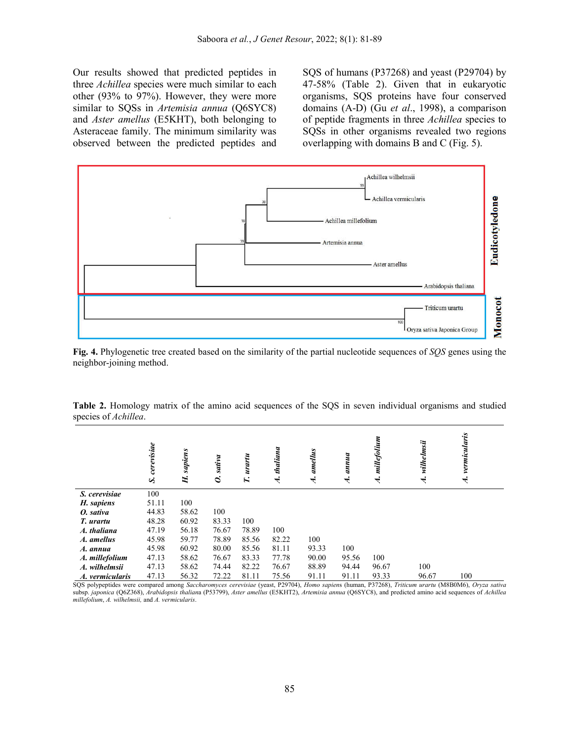Our results showed that predicted peptides in three *Achillea* species were much similar to each other (93% to 97%). However, they were more similar to SQSs in *Artemisia annua* (Q6SYC8) and *Aster amellus* (E5KHT), both belonging to Asteraceae family. The minimum similarity was observed between the predicted peptides and

SQS of humans (P37268) and yeast (P29704) by 47-58% (Table 2). Given that in eukaryotic organisms, SQS proteins have four conserved domains (A-D) (Gu *et al*., 1998), a comparison of peptide fragments in three *Achillea* species to SQSs in other organisms revealed two regions overlapping with domains B and C (Fig. 5).



**Fig. 4.** Phylogenetic tree created based on the similarity of the partial nucleotide sequences of *SQS* genes using the neighbor-joining method.

**Table 2.** Homology matrix of the amino acid sequences of the SQS in seven individual organisms and studied species of *Achillea*.

|                 | cerevisiae | sapiens | sativa       | urartu     | thaliana | amellus | annua | millefolium | wilhelmsii   | vermicularis |  |
|-----------------|------------|---------|--------------|------------|----------|---------|-------|-------------|--------------|--------------|--|
|                 | S          | H.      | $\mathbf{c}$ | $\ddot{ }$ | ત્તં     | ત્તં    | 4.    | ત્તં        | $\vec{\tau}$ | 4.           |  |
| S. cerevisiae   | 100        |         |              |            |          |         |       |             |              |              |  |
| H. sapiens      | 51.11      | 100     |              |            |          |         |       |             |              |              |  |
| O. sativa       | 44.83      | 58.62   | 100          |            |          |         |       |             |              |              |  |
| T. urartu       | 48.28      | 60.92   | 83.33        | 100        |          |         |       |             |              |              |  |
| A. thaliana     | 47.19      | 56.18   | 76.67        | 78.89      | 100      |         |       |             |              |              |  |
| A. amellus      | 45.98      | 59.77   | 78.89        | 85.56      | 82.22    | 100     |       |             |              |              |  |
| A. annua        | 45.98      | 60.92   | 80.00        | 85.56      | 81.11    | 93.33   | 100   |             |              |              |  |
| A. millefolium  | 47.13      | 58.62   | 76.67        | 83.33      | 77.78    | 90.00   | 95.56 | 100         |              |              |  |
| A. wilhelmsii   | 47.13      | 58.62   | 74.44        | 82.22      | 76.67    | 88.89   | 94.44 | 96.67       | 100          |              |  |
| A. vermicularis | 47.13      | 56.32   | 72.22        | 81.11      | 75.56    | 91.11   | 91.11 | 93.33       | 96.67        | 100          |  |

SQS polypeptides were compared among *Saccharomyces cerevisiae* (yeast, P29704), *Homo sapien*s (human, P37268), *Triticum urartu* (M8B0M6), *Oryza sativa*  subsp. *japonica* (Q6Z368), *Arabidopsis thalian*a (P53799), *Aster amellus* (E5KHT2), *Artemisia annua* (Q6SYC8), and predicted amino acid sequences of *Achillea millefolium*, *A. wilhelmsii,* and *A. vermicularis*.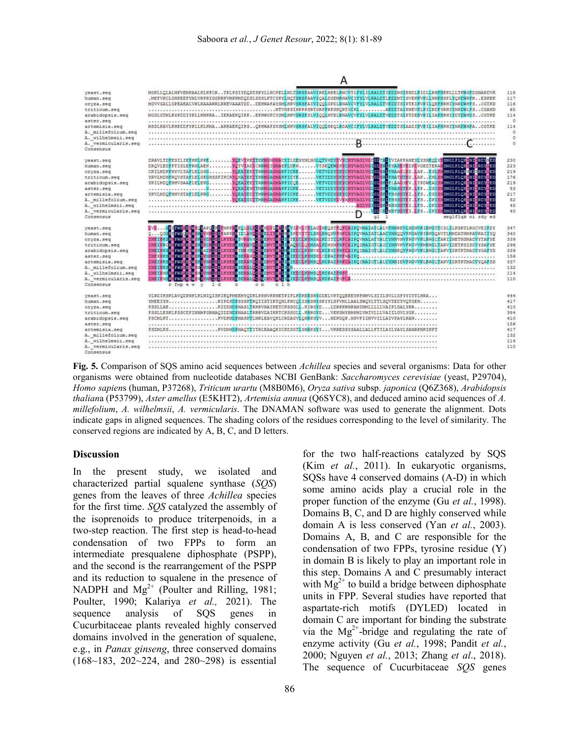

**Fig. 5.** Comparison of SQS amino acid sequences between *Achillea* species and several organisms: Data for other organisms were obtained from nucleotide databases NCBI GenBank: *Saccharomyces cerevisiae* (yeast, P29704), *Homo sapien*s (human, P37268), *Triticum urartu* (M8B0M6), *Oryza sativa* subsp. *japonica* (Q6Z368), *Arabidopsis thalian*a (P53799), *Aster amellus* (E5KHT2), *Artemisia annua* (Q6SYC8), and deduced amino acid sequences of *A. millefolium*, *A. wilhelmsii*, *A. vermicularis*. The DNAMAN software was used to generate the alignment. Dots indicate gaps in aligned sequences. The shading colors of the residues corresponding to the level of similarity. The conserved regions are indicated by A, B, C, and D letters.

#### **Discussion**

In the present study, we isolated and characterized partial squalene synthase (*SQS*) genes from the leaves of three *Achillea* species for the first time. *SQS* catalyzed the assembly of the isoprenoids to produce triterpenoids, in a two-step reaction. The first step is head-to-head condensation of two FPPs to form an intermediate presqualene diphosphate (PSPP), and the second is the rearrangement of the PSPP and its reduction to squalene in the presence of NADPH and  $Mg^{2+}$  (Poulter and Rilling, 1981; Poulter, 1990; Kalariya *et al.,* 2021). The sequence analysis of SQS genes in Cucurbitaceae plants revealed highly conserved domains involved in the generation of squalene, e.g., in *Panax ginseng*, three conserved domains (168~183, 202~224, and 280~298) is essential

for the two half-reactions catalyzed by SQS (Kim *et al.*, 2011). In eukaryotic organisms, SQSs have 4 conserved domains (A-D) in which some amino acids play a crucial role in the proper function of the enzyme (Gu *et al.*, 1998). Domains B, C, and D are highly conserved while domain A is less conserved (Yan *et al.*, 2003). Domains A, B, and C are responsible for the condensation of two FPPs, tyrosine residue (Y) in domain B is likely to play an important role in this step. Domains A and C presumably interact with  $Mg^{2+}$  to build a bridge between diphosphate units in FPP. Several studies have reported that aspartate-rich motifs (DYLED) located in domain C are important for binding the substrate via the  $Mg^{2+}$ -bridge and regulating the rate of enzyme activity (Gu *et al.*, 1998; Pandit *et al.*, 2000; Nguyen *et al.*, 2013; Zhang *et al*., 2018). The sequence of Cucurbitaceae *SQS* genes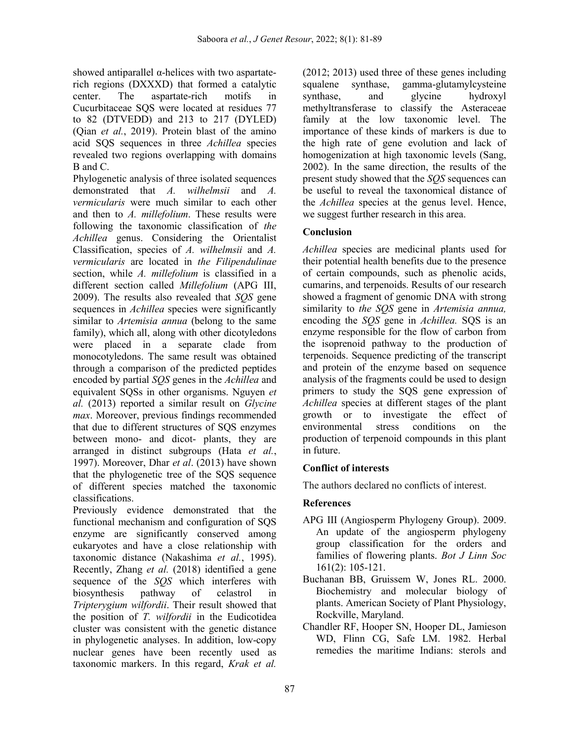showed antiparallel  $\alpha$ -helices with two aspartaterich regions (DXXXD) that formed a catalytic center. The aspartate-rich motifs in Cucurbitaceae SQS were located at residues 77 to 82 (DTVEDD) and 213 to 217 (DYLED) (Qian *et al.*, 2019). Protein blast of the amino acid SQS sequences in three *Achillea* species revealed two regions overlapping with domains B and C.

Phylogenetic analysis of three isolated sequences demonstrated that *A. wilhelmsii* and *A. vermicularis* were much similar to each other and then to *A. millefolium*. These results were following the taxonomic classification of *the Achillea* genus. Considering the Orientalist Classification, species of *A. wilhelmsii* and *A. vermicularis* are located in *the Filipendulinae* section, while *A. millefolium* is classified in a different section called *Millefolium* (APG III, 2009). The results also revealed that *SQS* gene sequences in *Achillea* species were significantly similar to *Artemisia annua* (belong to the same family), which all, along with other dicotyledons were placed in a separate clade from monocotyledons. The same result was obtained through a comparison of the predicted peptides encoded by partial *SQS* genes in the *Achillea* and equivalent SQSs in other organisms. Nguyen *et al.* (2013) reported a similar result on *Glycine max*. Moreover, previous findings recommended that due to different structures of SQS enzymes between mono- and dicot- plants, they are arranged in distinct subgroups (Hata *et al.*, 1997). Moreover, Dhar *et al*. (2013) have shown that the phylogenetic tree of the SQS sequence of different species matched the taxonomic classifications.

Previously evidence demonstrated that the functional mechanism and configuration of SQS enzyme are significantly conserved among eukaryotes and have a close relationship with taxonomic distance (Nakashima *et al.*, 1995). Recently, Zhang *et al.* (2018) identified a gene sequence of the *SQS* which interferes with biosynthesis pathway of celastrol in *Tripterygium wilfordii*. Their result showed that the position of *T. wilfordii* in the Eudicotidea cluster was consistent with the genetic distance in phylogenetic analyses. In addition, low-copy nuclear genes have been recently used as taxonomic markers. In this regard, *Krak et al.*

(2012; 2013) used three of these genes including squalene synthase, gamma-glutamylcysteine synthase, and glycine hydroxyl methyltransferase to classify the Asteraceae family at the low taxonomic level. The importance of these kinds of markers is due to the high rate of gene evolution and lack of homogenization at high taxonomic levels (Sang, 2002). In the same direction, the results of the present study showed that the *SQS* sequences can be useful to reveal the taxonomical distance of the *Achillea* species at the genus level. Hence, we suggest further research in this area.

## **Conclusion**

*Achillea* species are medicinal plants used for their potential health benefits due to the presence of certain compounds, such as phenolic acids, cumarins, and terpenoids. Results of our research showed a fragment of genomic DNA with strong similarity to *the SQS* gene in *Artemisia annua,* encoding the *SQS* gene in *Achillea.* SQS is an enzyme responsible for the flow of carbon from the isoprenoid pathway to the production of terpenoids. Sequence predicting of the transcript and protein of the enzyme based on sequence analysis of the fragments could be used to design primers to study the SQS gene expression of *Achillea* species at different stages of the plant growth or to investigate the effect of environmental stress conditions on the production of terpenoid compounds in this plant in future.

# **Conflict of interests**

The authors declared no conflicts of interest.

# **References**

- APG III (Angiosperm Phylogeny Group). 2009. An update of the angiosperm phylogeny group classification for the orders and families of flowering plants. *Bot J Linn Soc*  161(2): 105-121.
- Buchanan BB, Gruissem W, Jones RL. 2000. Biochemistry and molecular biology of plants. American Society of Plant Physiology, Rockville, Maryland.
- Chandler RF, Hooper SN, Hooper DL, Jamieson WD, Flinn CG, Safe LM. 1982. Herbal remedies the maritime Indians: sterols and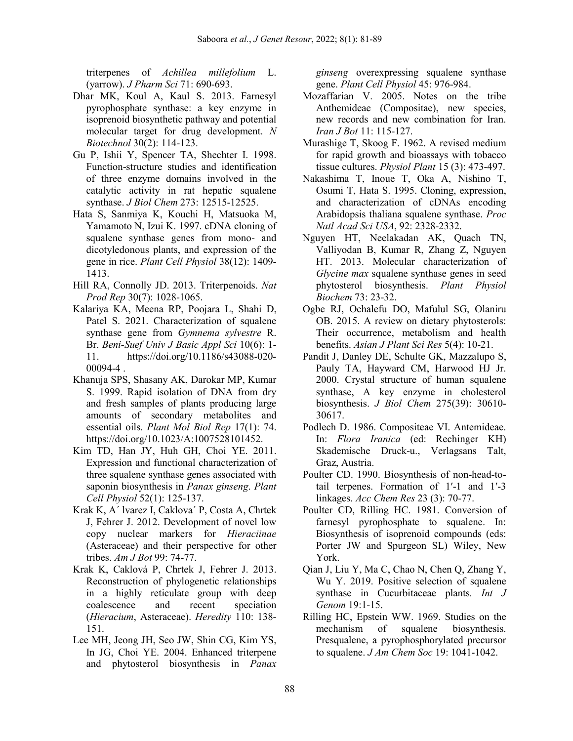triterpenes of *Achillea millefolium* L. (yarrow). *J Pharm Sci* 71: 690-693.

- Dhar MK, Koul A, Kaul S. 2013. Farnesyl pyrophosphate synthase: a key enzyme in isoprenoid biosynthetic pathway and potential molecular target for drug development. *N Biotechnol* 30(2): 114-123.
- Gu P, Ishii Y, Spencer TA, Shechter I. 1998. Function-structure studies and identification of three enzyme domains involved in the catalytic activity in rat hepatic squalene synthase. *J Biol Chem* 273: 12515-12525.
- Hata S, Sanmiya K, Kouchi H, Matsuoka M, Yamamoto N, Izui K. 1997. cDNA cloning of squalene synthase genes from mono- and dicotyledonous plants, and expression of the gene in rice. *Plant Cell Physiol* 38(12): 1409- 1413.
- Hill RA, Connolly JD. 2013. Triterpenoids. *Nat Prod Rep* 30(7): 1028-1065.
- Kalariya KA, Meena RP, Poojara L, Shahi D, Patel S. 2021. Characterization of squalene synthase gene from *Gymnema sylvestre* R. Br. *Beni-Suef Univ J Basic Appl Sci* 10(6): 1- 11. https://doi.org/10.1186/s43088-020- 00094-4 .
- Khanuja SPS, Shasany AK, Darokar MP, Kumar S. 1999. Rapid isolation of DNA from dry and fresh samples of plants producing large amounts of secondary metabolites and essential oils. *Plant Mol Biol Rep* 17(1): 74. https://doi.org/10.1023/A:1007528101452.
- Kim TD, Han JY, Huh GH, Choi YE. 2011. Expression and functional characterization of three squalene synthase genes associated with saponin biosynthesis in *Panax ginseng*. *Plant Cell Physiol* 52(1): 125-137.
- Krak K, A´ lvarez I, Caklova´ P, Costa A, Chrtek J, Fehrer J. 2012. Development of novel low copy nuclear markers for *Hieraciinae* (Asteraceae) and their perspective for other tribes. *Am J Bot* 99: 74-77.
- Krak K, Caklová P, Chrtek J, Fehrer J. 2013. Reconstruction of phylogenetic relationships in a highly reticulate group with deep coalescence and recent speciation (*Hieracium*, Asteraceae). *Heredity* 110: 138- 151.
- Lee MH, Jeong JH, Seo JW, Shin CG, Kim YS, In JG, Choi YE. 2004. Enhanced triterpene and phytosterol biosynthesis in *Panax*

*ginseng* overexpressing squalene synthase gene. *Plant Cell Physiol* 45: 976-984.

- Mozaffarian V. 2005. Notes on the tribe Anthemideae (Compositae), new species, new records and new combination for Iran. *Iran J Bot* 11: 115-127.
- Murashige T, Skoog F. 1962. A revised medium for rapid growth and bioassays with tobacco tissue cultures. *Physiol Plant* 15 (3): 473-497.
- Nakashima T, Inoue T, Oka A, Nishino T, Osumi T, Hata S. 1995. Cloning, expression, and characterization of cDNAs encoding Arabidopsis thaliana squalene synthase. *Proc Natl Acad Sci USA*, 92: 2328-2332.
- Nguyen HT, Neelakadan AK, Quach TN, Valliyodan B, Kumar R, Zhang Z, Nguyen HT. 2013. Molecular characterization of *Glycine max* squalene synthase genes in seed phytosterol biosynthesis. *Plant Physiol Biochem* 73: 23-32.
- Ogbe RJ, Ochalefu DO, Mafulul SG, Olaniru OB. 2015. A review on dietary phytosterols: Their occurrence, metabolism and health benefits. *Asian J Plant Sci Res* 5(4): 10-21.
- Pandit J, Danley DE, Schulte GK, Mazzalupo S, Pauly TA, Hayward CM, Harwood HJ Jr. 2000. Crystal structure of human squalene synthase, A key enzyme in cholesterol biosynthesis. *J Biol Chem* 275(39): 30610- 30617.
- Podlech D. 1986. Compositeae VI. Antemideae. In: *Flora Iranica* (ed: Rechinger KH) Skademische Druck-u., Verlagsans Talt, Graz, Austria.
- Poulter CD. 1990. Biosynthesis of non-head-totail terpenes. Formation of 1′-1 and 1′-3 linkages. *Acc Chem Res* 23 (3): 70-77.
- Poulter CD, Rilling HC. 1981. Conversion of farnesyl pyrophosphate to squalene. In: Biosynthesis of isoprenoid compounds (eds: Porter JW and Spurgeon SL) Wiley, New York.
- Qian J, Liu Y, Ma C, Chao N, Chen Q, Zhang Y, Wu Y. 2019. Positive selection of squalene synthase in Cucurbitaceae plants*. Int J Genom* 19:1-15.
- Rilling HC, Epstein WW. 1969. Studies on the mechanism of squalene biosynthesis. Presqualene, a pyrophosphorylated precursor to squalene. *J Am Chem Soc* 19: 1041-1042.